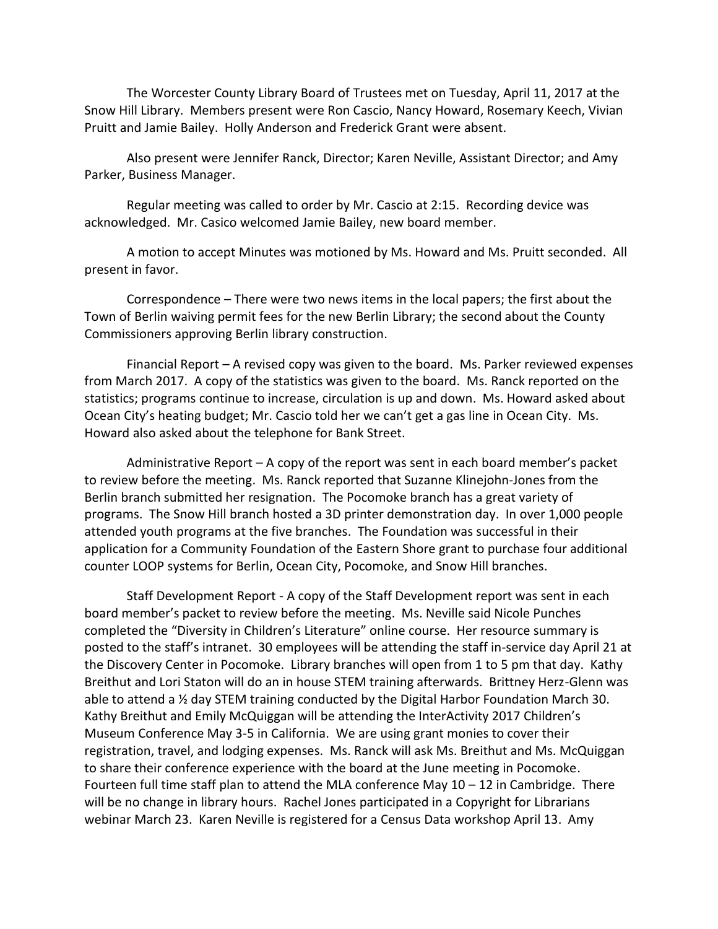The Worcester County Library Board of Trustees met on Tuesday, April 11, 2017 at the Snow Hill Library. Members present were Ron Cascio, Nancy Howard, Rosemary Keech, Vivian Pruitt and Jamie Bailey. Holly Anderson and Frederick Grant were absent.

Also present were Jennifer Ranck, Director; Karen Neville, Assistant Director; and Amy Parker, Business Manager.

Regular meeting was called to order by Mr. Cascio at 2:15. Recording device was acknowledged. Mr. Casico welcomed Jamie Bailey, new board member.

A motion to accept Minutes was motioned by Ms. Howard and Ms. Pruitt seconded. All present in favor.

Correspondence – There were two news items in the local papers; the first about the Town of Berlin waiving permit fees for the new Berlin Library; the second about the County Commissioners approving Berlin library construction.

Financial Report – A revised copy was given to the board. Ms. Parker reviewed expenses from March 2017. A copy of the statistics was given to the board. Ms. Ranck reported on the statistics; programs continue to increase, circulation is up and down. Ms. Howard asked about Ocean City's heating budget; Mr. Cascio told her we can't get a gas line in Ocean City. Ms. Howard also asked about the telephone for Bank Street.

Administrative Report – A copy of the report was sent in each board member's packet to review before the meeting. Ms. Ranck reported that Suzanne Klinejohn-Jones from the Berlin branch submitted her resignation. The Pocomoke branch has a great variety of programs. The Snow Hill branch hosted a 3D printer demonstration day. In over 1,000 people attended youth programs at the five branches. The Foundation was successful in their application for a Community Foundation of the Eastern Shore grant to purchase four additional counter LOOP systems for Berlin, Ocean City, Pocomoke, and Snow Hill branches.

Staff Development Report - A copy of the Staff Development report was sent in each board member's packet to review before the meeting. Ms. Neville said Nicole Punches completed the "Diversity in Children's Literature" online course. Her resource summary is posted to the staff's intranet. 30 employees will be attending the staff in-service day April 21 at the Discovery Center in Pocomoke. Library branches will open from 1 to 5 pm that day. Kathy Breithut and Lori Staton will do an in house STEM training afterwards. Brittney Herz-Glenn was able to attend a ½ day STEM training conducted by the Digital Harbor Foundation March 30. Kathy Breithut and Emily McQuiggan will be attending the InterActivity 2017 Children's Museum Conference May 3-5 in California. We are using grant monies to cover their registration, travel, and lodging expenses. Ms. Ranck will ask Ms. Breithut and Ms. McQuiggan to share their conference experience with the board at the June meeting in Pocomoke. Fourteen full time staff plan to attend the MLA conference May 10 – 12 in Cambridge. There will be no change in library hours. Rachel Jones participated in a Copyright for Librarians webinar March 23. Karen Neville is registered for a Census Data workshop April 13. Amy